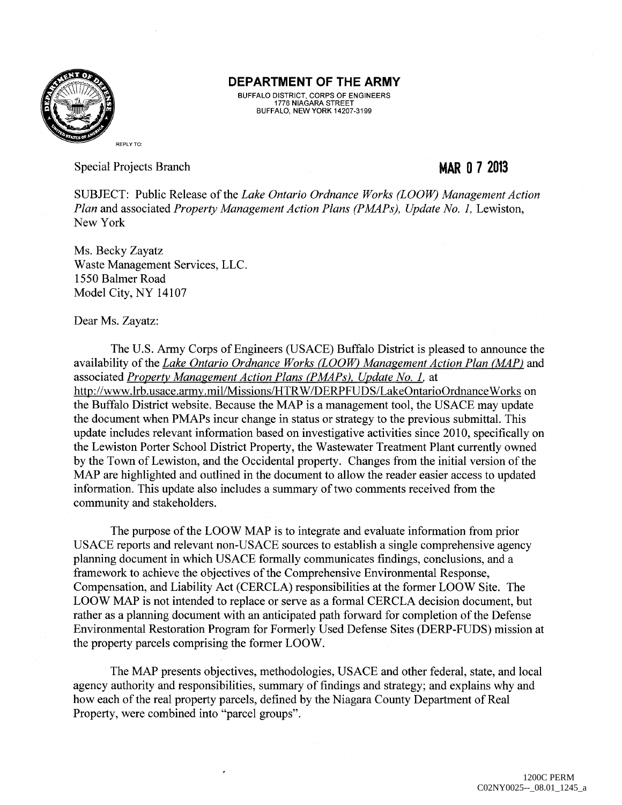

BUFFALO DISTRICT, CORPS OF ENGINEERS 1776 NIAGARA STREET BUFFALO, NEW YORK 14207-3199

Special Projects Branch

### **MAR 0 7 2013**

SUBJECT: Public Release of the *Lake Ontario Ordnance Works (LOOW) Management Action Plan and associated <i>Property Management Action Plans (PMAPs), Update No. 1, Lewiston,* New York

Ms. Becky Zayatz Waste Management Services, LLC. 1550 Balmer Road Model City, NY 14107

Dear Ms. Zayatz:

The U.S. Army Corps of Engineers (USACE) Buffalo District is pleased to announce the availability of the *Lake Ontario Ordnance Works CLOOW) Management Action Plan (MAP)* and associated *Property Management Action Plans (PMAPs), Update No. 1.* at http://www.lrb.usace.army.mil/Missions/HTR W/DERPFUDS/LakeOntarioOrdnance Works on the Buffalo District website. Because the MAP is a management tool, the USACE may update the document when PMAPs incur change in status or strategy to the previous submittal. This update includes relevant information based on investigative activities since 2010, specifically on the Lewiston Porter School District Property, the Wastewater Treatment Plant currently owned by the Town of Lewiston, and the Occidental property. Changes from the initial version of the MAP are highlighted and outlined in the document to allow the reader easier access to updated information. This update also includes a summary of two comments received from the community and stakeholders.

The purpose of the LOOW MAP is to integrate and evaluate information from prior USACE reports and relevant non-USACE sources to establish a single comprehensive agency planning document in which USACE formally communicates findings, conclusions, and a framework to achieve the objectives of the Comprehensive Environmental Response, Compensation, and Liability Act (CERCLA) responsibilities at the former LOOW Site. The LOOW MAP is not intended to replace or serve as a formal CERCLA decision document, but rather as a planning document with an anticipated path forward for completion of the Defense Environmental Restoration Program for Formerly Used Defense Sites (DERP-FUDS) mission at the property parcels comprising the former LOO W.

The MAP presents objectives, methodologies, USACE and other federal, state, and local agency authority and responsibilities, summary of findings and strategy; and explains why and how each of the real property parcels, defined by the Niagara County Department of Real Property, were combined into "parcel groups".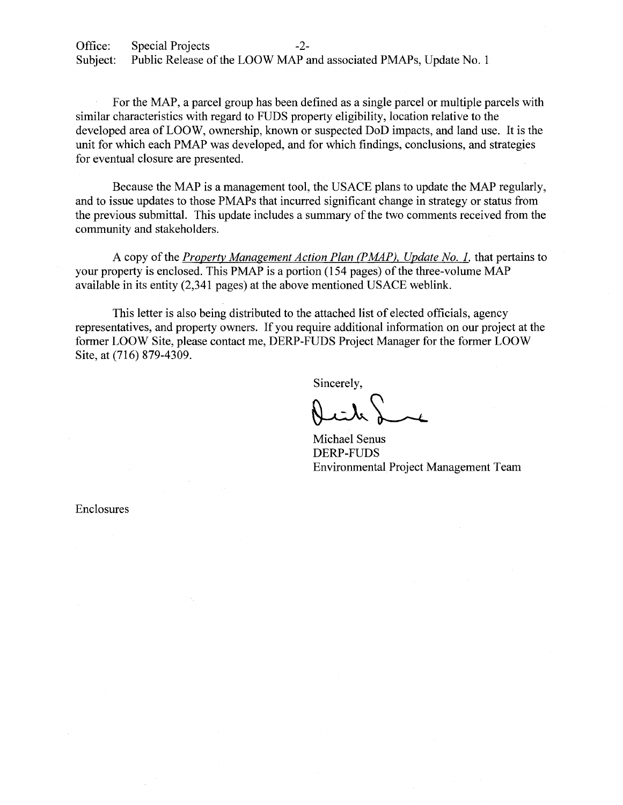For the MAP, a parcel group has been defined as a single parcel or multiple parcels with similar characteristics with regard to FUDS property eligibility, location relative to the developed area of LOOW, ownership, known or suspected DoD impacts, and land use. It is the unit for which each PMAP was developed, and for which findings, conclusions, and strategies for eventual closure are presented.

Because the MAP is a management tool, the USACE plans to update the MAP regularly, and to issue updates to those PMAPs that incurred significant change in strategy or status from the previous submittal. This update includes a summary of the two comments received from the community and stakeholders.

A copy of the *Property Management Action Plan (PMAP)*, *Update No. 1*, that pertains to your property is enclosed. This PMAP is a portion (154 pages) of the three-volume MAP available in its entity (2,341 pages) at the above mentioned USACE weblink.

This letter is also being distributed to the attached list of elected officials, agency representatives, and property owners. If you require additional information on our project at the former LOOW Site, please contact me, DERP-FUDS Project Manager for the former LOOW Site, at (716) 879-4309.

Sincerely,

Sincerely,<br> $\bigcup_{k} \bigcup_{k}$ <br>Michael Senus

DERP-FUDS Environmental Project Management Team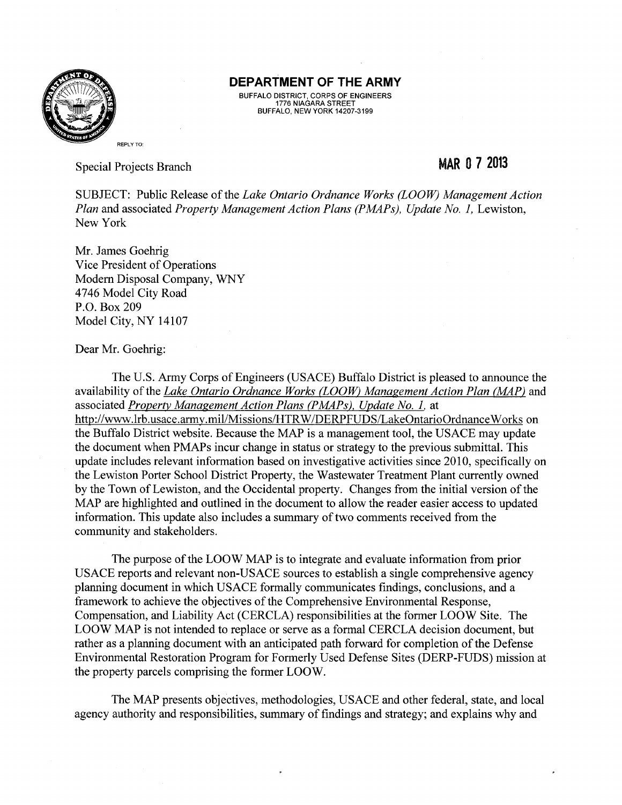

BUFFALO DISTRICT, CORPS OF ENGINEERS 1776 NIAGARA STREET BUFFALO, NEW YORK 14207-3199

Special Projects Branch

## **MAR 0 7 2013**

SUBJECT: Public Release of the *Lake Ontario Ordnance Works (LOOW) Management Action Plan and associated <i>Property Management Action Plans (PMAPs), Update No. 1, Lewiston,* New York

Mr. James Goehrig Vice President of Operations Modem Disposal Company, WNY 4746 Model City Road P.O. Box209 Model City, NY 14107

#### Dear Mr. Goehrig:

The U.S. Army Corps of Engineers (USACE) Buffalo District is pleased to announce the availability of the *Lake Ontario Ordnance Works (LOOW) Management Action Plan (MAP)* and associated *Property Management Action Plans (PMAPs), Update No. 1.* at http://www.lrb.usace.army.mil/Missions/HTRW/DERPFUDS/LakeOntarioOrdnanceWorks on the Buffalo District website. Because the MAP is a management tool, the USACE may update the document when PMAPs incur change in status or strategy to the previous submittal. This update includes relevant information based on investigative activities since 2010, specifically on the Lewiston Porter School District Property, the Wastewater Treatment Plant currently owned by the Town of Lewiston, and the Occidental property. Changes from the initial version of the MAP are highlighted and outlined in the document to allow the reader easier access to updated information. This update also includes a summary of two comments received from the community and stakeholders.

The purpose of the LOOW MAP is to integrate and evaluate information from prior USACE reports and relevant non-USACE sources to establish a single comprehensive agency planning document in which USACE formally communicates findings, conclusions, and a framework to achieve the objectives of the Comprehensive Environmental Response, Compensation, and Liability Act (CERCLA) responsibilities at the former LOOW Site. The LOOW MAP is not intended to replace or serve as a formal CERCLA decision document, but rather as a planning document with an anticipated path forward for completion of the Defense Environmental Restoration Program for Formerly Used Defense Sites (DERP-FUDS) mission at the property parcels comprising the former LOOW.

The MAP presents objectives, methodologies, USACE and other federal, state, and local agency authority and responsibilities, summary of findings and strategy; and explains why and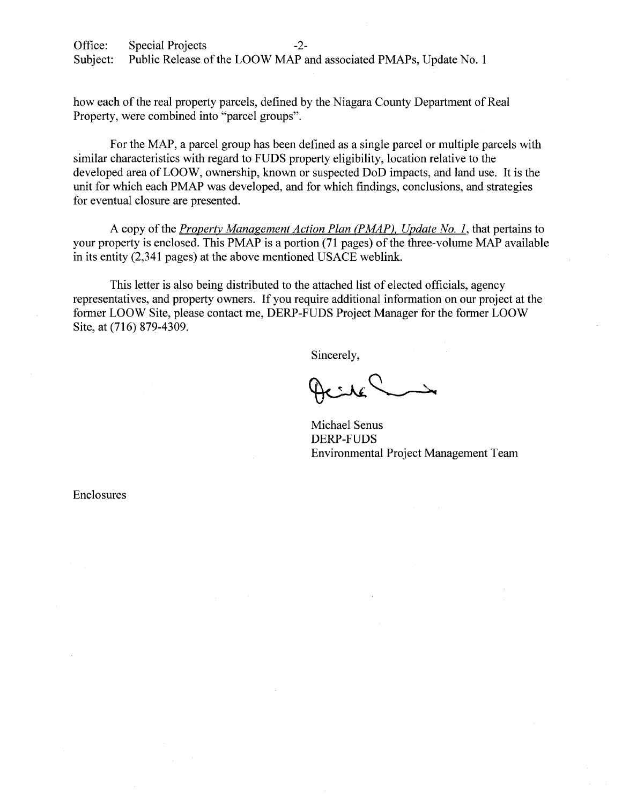how each of the real property parcels, defined by the Niagara County Department of Real Property, were combined into "parcel groups".

For the MAP, a parcel group has been defined as a single parcel or multiple parcels with similar characteristics with regard to FUDS property eligibility, location relative to the developed area of LOOW, ownership, known or suspected DoD impacts, and land use. It is the unit for which each PMAP was developed, and for which findings, conclusions, and strategies for eventual closure are presented.

A copy of the *Property Management Action Plan (PMAP), Update No.* 1, that pertains to your property is enclosed. This PMAP is a portion (71 pages) of the three-volume MAP available in its entity  $(2,341)$  pages) at the above mentioned USACE weblink.

This letter is also being distributed to the attached list of elected officials, agency representatives, and property owners. If you require additional information on our project at the former LOOW Site, please contact me, DERP-FUDS Project Manager for the former LOOW Site, at (716) 879-4309.

Sincerely,

Michael Senus DERP-FUDS Environmental Project Management Team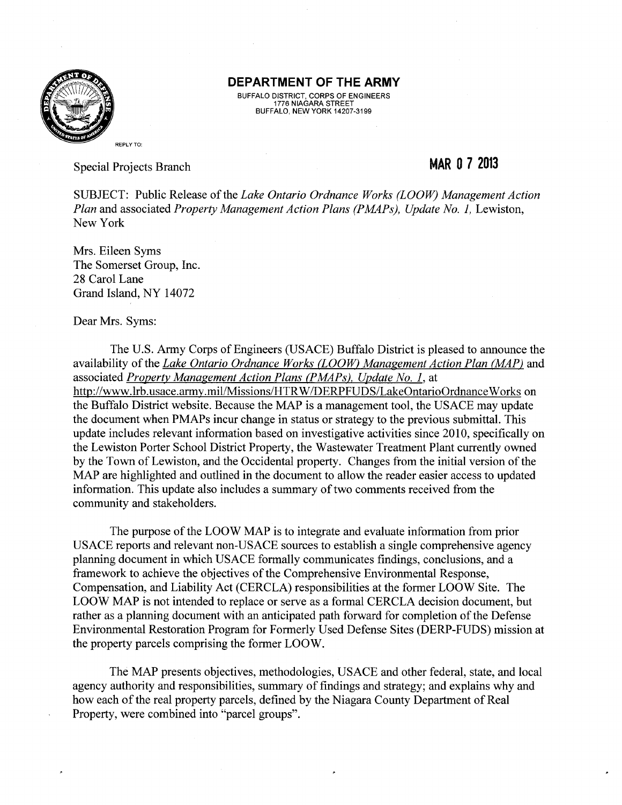

BUFFALO DISTRICT, CORPS OF ENGINEERS 1776 NIAGARA STREET BUFFALO, NEW YORK 14207-3199

Special Projects Branch

## **MAR 0 7 2013**

SUBJECT: Public Release of the *Lake Ontario Ordnance Works (LOOW) Management Action Plan and associated Property Management Action Plans (PMAPs), Update No. 1, Lewiston,* New York

Mrs. Eileen Syms The Somerset Group, Inc. 28 Carol Lane Grand Island, NY 14072

Dear Mrs. Syms:

The U.S. Army Corps of Engineers (USACE) Buffalo District is pleased to announce the availability of the *Lake Ontario Ordnance Works (LOOW) Management Action Plan (MAP)* and associated *Property Management Action Plans (P MAPs), Update No. 1,* at http://www.lrb.usace.army.mil/Missions/HTRW /DERPFUDS/LakeOntarioOrdnance Works on the Buffalo District website. Because the MAP is a management tool, the USACE may update the document when PMAPs incur change in status or strategy to the previous submittal. This update includes relevant information based on investigative activities since 2010, specifically on the Lewiston Porter School District Property, the Wastewater Treatment Plant currently owned by the Town of Lewiston, and the Occidental property. Changes from the initial version of the MAP are highlighted and outlined in the document to allow the reader easier access to updated information. This update also includes a summary of two comments received from the community and stakeholders.

The purpose of the LOOW MAP is to integrate and evaluate information from prior USACE reports and relevant non-USACE sources to establish a single comprehensive agency planning document in which USACE formally communicates findings, conclusions, and a framework to achieve the objectives of the Comprehensive Environmental Response, Compensation, and Liability Act (CERCLA) responsibilities at the former LOOW Site. The LOOW MAP is not intended to replace or serve as a formal CERCLA decision document, but rather as a planning document with an anticipated path forward for completion of the Defense Environmental Restoration Program for Formerly Used Defense Sites (DERP-FUDS) mission at the property parcels comprising the former LOOW.

The MAP presents objectives, methodologies, USACE and other federal, state, and local agency authority and responsibilities, summary of findings and strategy; and explains why and how each of the real property parcels, defined by the Niagara County Department of Real Property, were combined into "parcel groups".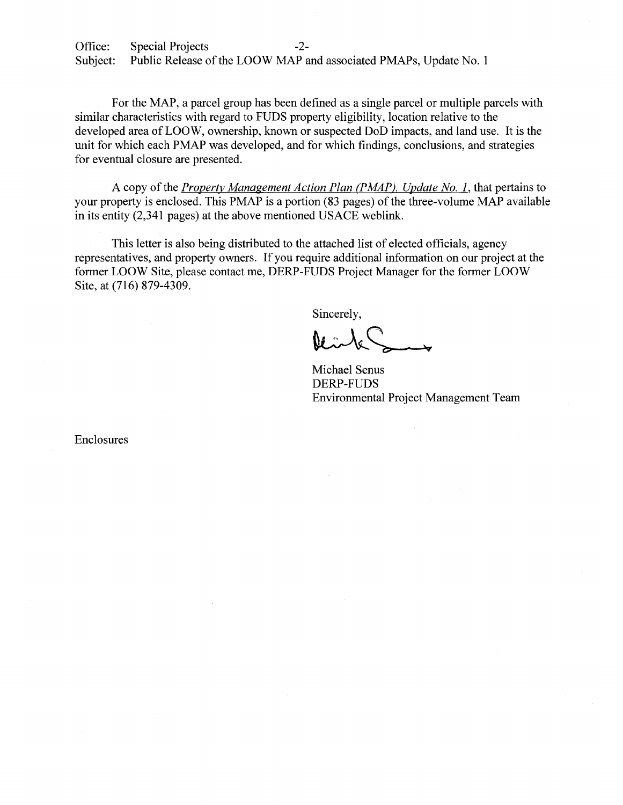For the MAP, a parcel group has been defined as a single parcel or multiple parcels with similar characteristics with regard to FUDS property eligibility, location relative to the developed area of LOOW, ownership, known or suspected DoD impacts, and land use. It is the unit for which each PMAP was developed, and for which findings, conclusions, and strategies for eventual closure are presented.

A copy of the *Property Management Action Plan* (P *MAP), Update No.* 1, that pertains to your property is enclosed. This PMAP is a portion (83 pages) of the three-volume MAP available in its entity (2,341 pages) at the above mentioned USACE weblink.

This letter is also being distributed to the attached list of elected officials, agency representatives, and property owners. If you require additional information on our project at the former LOOW Site, please contact me, DERP-FUDS Project Manager for the former LOOW Site, at (716) 879-4309.

Sincerely,

Michael Senus DERP-FUDS Environmental Project Management Team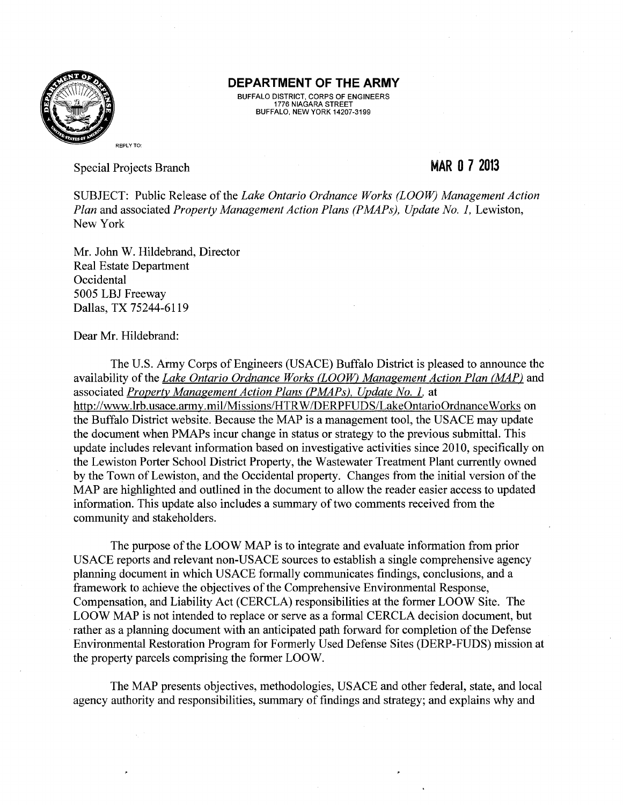

BUFFALO DISTRICT, CORPS OF ENGINEERS 1776 NIAGARA STREET BUFFALO, NEW YORK 14207-3199

Special Projects Branch

# **MAR 0 7 2013**

SUBJECT: Public Release of the *Lake Ontario Ordnance Works (LOOW) Management Action Plan and associated <i>Property Management Action Plans (PMAPs), Update No. 1, Lewiston,* New York

Mr. John W. Hildebrand, Director Real Estate Department **Occidental** 5005 LBJ Freeway Dallas, TX 75244-6119

Dear Mr. Hildebrand:

The U.S. Army Corps of Engineers (USACE) Buffalo District is pleased to announce the availability of the *Lake Ontario Ordnance Works (LOOW) Management Action Plan (MAP)* and associated *Property Management Action Plans (PMAPs), Update No. 1.* at http://www.lrb.usace.army.mil/Missions/HTRW/DERPFUDS/LakeOntarioOrdnanceWorks on the Buffalo District website. Because the MAP is a management tool, the USACE may update the document when PMAPs incur change in status or strategy to the previous submittal. This update includes relevant information based on investigative activities since 2010, specifically on the Lewiston Porter School District Property, the Wastewater Treatment Plant currently owned by the Town of Lewiston, and the Occidental property. Changes from the initial version of the MAP are highlighted and outlined in the document to allow the reader easier access to updated information. This update also includes a summary of two comments received from the community and stakeholders.

The purpose of the LOOW MAP is to integrate and evaluate information from prior USACE reports and relevant non-USACE sources to establish a single comprehensive agency planning document in which USACE formally communicates findings, conclusions, and a framework to achieve the objectives of the Comprehensive Environmental Response, Compensation, and Liability Act (CERCLA) responsibilities at the former LOOW Site. The LOOW MAP is not intended to replace or serve as a formal CERCLA decision document, but rather as a planning document with an anticipated path forward for completion of the Defense Environmental Restoration Program for Formerly Used Defense Sites (DERP-FUDS) mission at the property parcels comprising the former LOOW.

The MAP presents objectives, methodologies, USACE and other federal, state, and local agency authority and responsibilities, summary of findings and strategy; and explains why and